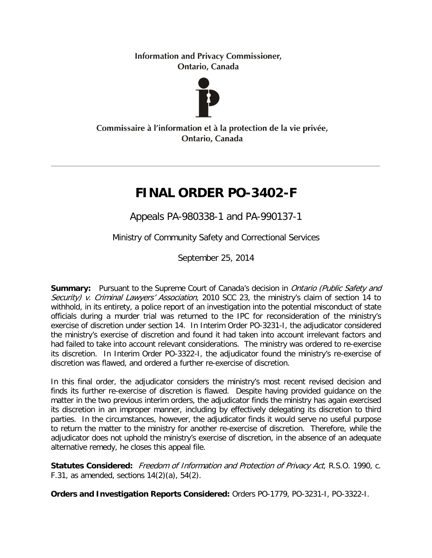**Information and Privacy Commissioner,** Ontario, Canada



#### Commissaire à l'information et à la protection de la vie privée, Ontario, Canada

# **FINAL ORDER PO-3402-F**

Appeals PA-980338-1 and PA-990137-1

Ministry of Community Safety and Correctional Services

September 25, 2014

**Summary:** Pursuant to the Supreme Court of Canada's decision in *Ontario (Public Safety and* Security) v. Criminal Lawyers' Association, 2010 SCC 23, the ministry's claim of section 14 to withhold, in its entirety, a police report of an investigation into the potential misconduct of state officials during a murder trial was returned to the IPC for reconsideration of the ministry's exercise of discretion under section 14. In Interim Order PO-3231-I, the adjudicator considered the ministry's exercise of discretion and found it had taken into account irrelevant factors and had failed to take into account relevant considerations. The ministry was ordered to re-exercise its discretion. In Interim Order PO-3322-I, the adjudicator found the ministry's re-exercise of discretion was flawed, and ordered a further re-exercise of discretion.

In this final order, the adjudicator considers the ministry's most recent revised decision and finds its further re-exercise of discretion is flawed. Despite having provided guidance on the matter in the two previous interim orders, the adjudicator finds the ministry has again exercised its discretion in an improper manner, including by effectively delegating its discretion to third parties. In the circumstances, however, the adjudicator finds it would serve no useful purpose to return the matter to the ministry for another re-exercise of discretion. Therefore, while the adjudicator does not uphold the ministry's exercise of discretion, in the absence of an adequate alternative remedy, he closes this appeal file.

**Statutes Considered:** Freedom of Information and Protection of Privacy Act, R.S.O. 1990, c. F.31, as amended, sections  $14(2)(a)$ , 54 $(2)$ .

**Orders and Investigation Reports Considered:** Orders PO-1779, PO-3231-I, PO-3322-I.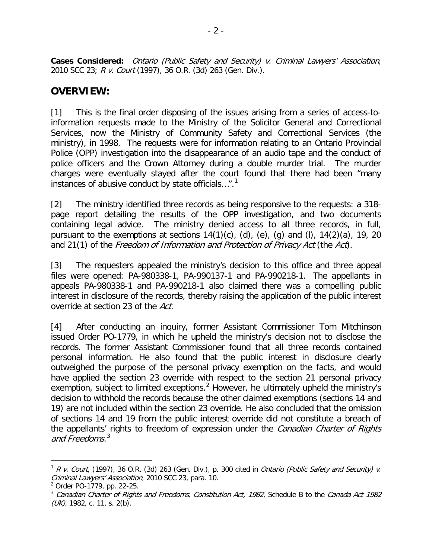**Cases Considered:** Ontario (Public Safety and Security) v. Criminal Lawyers' Association, 2010 SCC 23; R v. Court (1997), 36 O.R. (3d) 263 (Gen. Div.).

## **OVERVIEW:**

[1] This is the final order disposing of the issues arising from a series of access-toinformation requests made to the Ministry of the Solicitor General and Correctional Services, now the Ministry of Community Safety and Correctional Services (the ministry), in 1998. The requests were for information relating to an Ontario Provincial Police (OPP) investigation into the disappearance of an audio tape and the conduct of police officers and the Crown Attorney during a double murder trial. The murder charges were eventually stayed after the court found that there had been "many instances of abusive conduct by state officials...".<sup>[1](#page-1-0)</sup>

[2] The ministry identified three records as being responsive to the requests: a 318 page report detailing the results of the OPP investigation, and two documents containing legal advice. The ministry denied access to all three records, in full, pursuant to the exemptions at sections  $14(1)(c)$ ,  $(d)$ ,  $(e)$ ,  $(g)$  and  $(l)$ ,  $14(2)(a)$ , 19, 20 and 21(1) of the Freedom of Information and Protection of Privacy Act (the Act).

[3] The requesters appealed the ministry's decision to this office and three appeal files were opened: PA-980338-1, PA-990137-1 and PA-990218-1. The appellants in appeals PA-980338-1 and PA-990218-1 also claimed there was a compelling public interest in disclosure of the records, thereby raising the application of the public interest override at section 23 of the Act.

[4] After conducting an inquiry, former Assistant Commissioner Tom Mitchinson issued Order PO-1779, in which he upheld the ministry's decision not to disclose the records. The former Assistant Commissioner found that all three records contained personal information. He also found that the public interest in disclosure clearly outweighed the purpose of the personal privacy exemption on the facts, and would have applied the section 23 override with respect to the section 21 personal privacy exemption, subject to limited exceptions.<sup>[2](#page-1-1)</sup> However, he ultimately upheld the ministry's decision to withhold the records because the other claimed exemptions (sections 14 and 19) are not included within the section 23 override. He also concluded that the omission of sections 14 and 19 from the public interest override did not constitute a breach of the appellants' rights to freedom of expression under the *Canadian Charter of Rights* and Freedoms. [3](#page-1-2)

<span id="page-1-0"></span> $1$  R v. Court, (1997), 36 O.R. (3d) 263 (Gen. Div.), p. 300 cited in Ontario (Public Safety and Security) v. Criminal Lawyers' Association, 2010 SCC 23, para. 10.

<span id="page-1-1"></span><sup>2</sup> Order PO-1779, pp. 22-25.

<span id="page-1-2"></span> $3$  Canadian Charter of Rights and Freedoms, Constitution Act, 1982, Schedule B to the Canada Act 1982  $(UK)$ , 1982, c. 11, s. 2(b).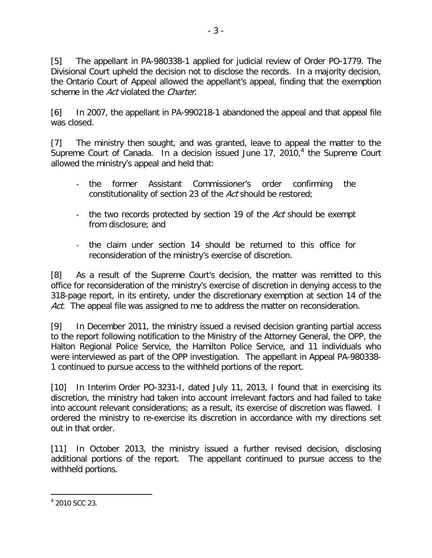[5] The appellant in PA-980338-1 applied for judicial review of Order PO-1779. The Divisional Court upheld the decision not to disclose the records. In a majority decision, the Ontario Court of Appeal allowed the appellant's appeal, finding that the exemption scheme in the Act violated the Charter.

[6] In 2007, the appellant in PA-990218-1 abandoned the appeal and that appeal file was closed.

[7] The ministry then sought, and was granted, leave to appeal the matter to the Supreme Court of Canada. In a decision issued June 17, 2010,<sup>[4](#page-2-0)</sup> the Supreme Court allowed the ministry's appeal and held that:

- the former Assistant Commissioner's order confirming the constitutionality of section 23 of the Act should be restored;
- the two records protected by section 19 of the Act should be exempt from disclosure; and
- the claim under section 14 should be returned to this office for reconsideration of the ministry's exercise of discretion.

[8] As a result of the Supreme Court's decision, the matter was remitted to this office for reconsideration of the ministry's exercise of discretion in denying access to the 318-page report, in its entirety, under the discretionary exemption at section 14 of the Act. The appeal file was assigned to me to address the matter on reconsideration.

[9] In December 2011, the ministry issued a revised decision granting partial access to the report following notification to the Ministry of the Attorney General, the OPP, the Halton Regional Police Service, the Hamilton Police Service, and 11 individuals who were interviewed as part of the OPP investigation. The appellant in Appeal PA-980338- 1 continued to pursue access to the withheld portions of the report.

[10] In Interim Order PO-3231-I, dated July 11, 2013, I found that in exercising its discretion, the ministry had taken into account irrelevant factors and had failed to take into account relevant considerations; as a result, its exercise of discretion was flawed. I ordered the ministry to re-exercise its discretion in accordance with my directions set out in that order.

[11] In October 2013, the ministry issued a further revised decision, disclosing additional portions of the report. The appellant continued to pursue access to the withheld portions.

<span id="page-2-0"></span><sup>4</sup> 2010 SCC 23.  $\overline{a}$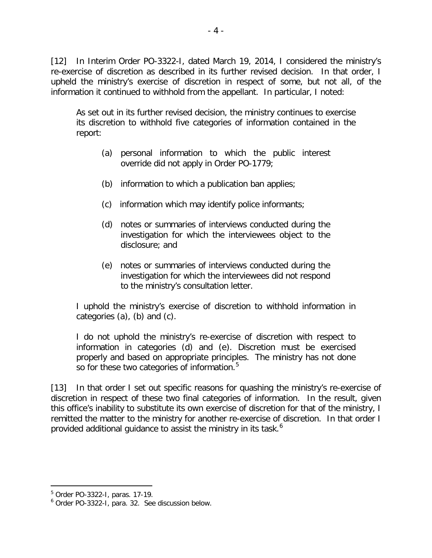[12] In Interim Order PO-3322-I, dated March 19, 2014, I considered the ministry's re-exercise of discretion as described in its further revised decision. In that order, I upheld the ministry's exercise of discretion in respect of some, but not all, of the information it continued to withhold from the appellant. In particular, I noted:

As set out in its further revised decision, the ministry continues to exercise its discretion to withhold five categories of information contained in the report:

- (a) personal information to which the public interest override did not apply in Order PO-1779;
- (b) information to which a publication ban applies;
- (c) information which may identify police informants;
- (d) notes or summaries of interviews conducted during the investigation for which the interviewees object to the disclosure; and
- (e) notes or summaries of interviews conducted during the investigation for which the interviewees did not respond to the ministry's consultation letter.

I uphold the ministry's exercise of discretion to withhold information in categories (a), (b) and (c).

I do not uphold the ministry's re-exercise of discretion with respect to information in categories (d) and (e). Discretion must be exercised properly and based on appropriate principles. The ministry has not done so for these two categories of information.<sup>[5](#page-3-0)</sup>

[13] In that order I set out specific reasons for quashing the ministry's re-exercise of discretion in respect of these two final categories of information. In the result, given this office's inability to substitute its own exercise of discretion for that of the ministry, I remitted the matter to the ministry for another re-exercise of discretion. In that order I provided additional quidance to assist the ministry in its task.<sup>[6](#page-3-1)</sup>

<span id="page-3-0"></span><sup>5</sup> Order PO-3322-I, paras. 17-19.

<span id="page-3-1"></span><sup>6</sup> Order PO-3322-I, para. 32. See discussion below.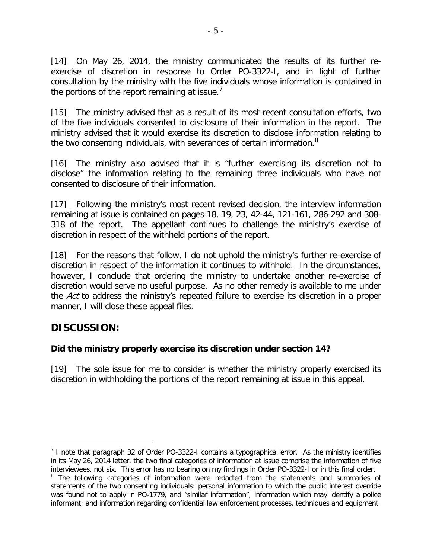[14] On May 26, 2014, the ministry communicated the results of its further reexercise of discretion in response to Order PO-3322-I, and in light of further consultation by the ministry with the five individuals whose information is contained in the portions of the report remaining at issue. $<sup>7</sup>$  $<sup>7</sup>$  $<sup>7</sup>$ </sup>

[15] The ministry advised that as a result of its most recent consultation efforts, two of the five individuals consented to disclosure of their information in the report. The ministry advised that it would exercise its discretion to disclose information relating to the two consenting individuals, with severances of certain information.<sup>[8](#page-4-1)</sup>

[16] The ministry also advised that it is "further exercising its discretion not to disclose" the information relating to the remaining three individuals who have not consented to disclosure of their information.

[17] Following the ministry's most recent revised decision, the interview information remaining at issue is contained on pages 18, 19, 23, 42-44, 121-161, 286-292 and 308- 318 of the report. The appellant continues to challenge the ministry's exercise of discretion in respect of the withheld portions of the report.

[18] For the reasons that follow, I do not uphold the ministry's further re-exercise of discretion in respect of the information it continues to withhold. In the circumstances, however, I conclude that ordering the ministry to undertake another re-exercise of discretion would serve no useful purpose. As no other remedy is available to me under the Act to address the ministry's repeated failure to exercise its discretion in a proper manner, I will close these appeal files.

# **DISCUSSION:**

 $\overline{a}$ 

#### **Did the ministry properly exercise its discretion under section 14?**

[19] The sole issue for me to consider is whether the ministry properly exercised its discretion in withholding the portions of the report remaining at issue in this appeal.

<span id="page-4-0"></span><sup>&</sup>lt;sup>7</sup> I note that paragraph 32 of Order PO-3322-I contains a typographical error. As the ministry identifies in its May 26, 2014 letter, the two final categories of information at issue comprise the information of five interviewees, not six. This error has no bearing on my findings in Order PO-3322-I or in this final order.

<span id="page-4-1"></span><sup>&</sup>lt;sup>8</sup> The following categories of information were redacted from the statements and summaries of statements of the two consenting individuals: personal information to which the public interest override was found not to apply in PO-1779, and "similar information"; information which may identify a police informant; and information regarding confidential law enforcement processes, techniques and equipment.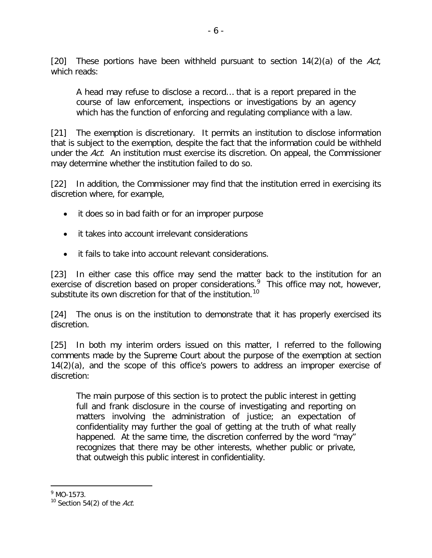[20] These portions have been withheld pursuant to section  $14(2)(a)$  of the Act, which reads:

A head may refuse to disclose a record… that is a report prepared in the course of law enforcement, inspections or investigations by an agency which has the function of enforcing and regulating compliance with a law.

[21] The exemption is discretionary. It permits an institution to disclose information that is subject to the exemption, despite the fact that the information could be withheld under the Act. An institution must exercise its discretion. On appeal, the Commissioner may determine whether the institution failed to do so.

[22] In addition, the Commissioner may find that the institution erred in exercising its discretion where, for example,

- it does so in bad faith or for an improper purpose
- it takes into account irrelevant considerations
- it fails to take into account relevant considerations.

[23] In either case this office may send the matter back to the institution for an exercise of discretion based on proper considerations.<sup>[9](#page-5-0)</sup> This office may not, however, substitute its own discretion for that of the institution.<sup>[10](#page-5-1)</sup>

[24] The onus is on the institution to demonstrate that it has properly exercised its discretion.

[25] In both my interim orders issued on this matter, I referred to the following comments made by the Supreme Court about the purpose of the exemption at section 14(2)(a), and the scope of this office's powers to address an improper exercise of discretion:

The main purpose of this section is to protect the public interest in getting full and frank disclosure in the course of investigating and reporting on matters involving the administration of justice; an expectation of confidentiality may further the goal of getting at the truth of what really happened. At the same time, the discretion conferred by the word "may" recognizes that there may be other interests, whether public or private, that outweigh this public interest in confidentiality.

<span id="page-5-0"></span> $9$  MO-1573.

<span id="page-5-1"></span> $10$  Section 54(2) of the Act.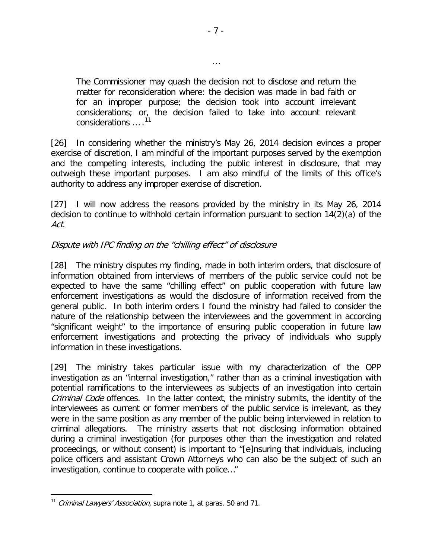The Commissioner may quash the decision not to disclose and return the matter for reconsideration where: the decision was made in bad faith or for an improper purpose; the decision took into account irrelevant considerations; or, the decision failed to take into account relevant considerations ... .<sup>[11](#page-6-0)</sup>

[26] In considering whether the ministry's May 26, 2014 decision evinces a proper exercise of discretion, I am mindful of the important purposes served by the exemption and the competing interests, including the public interest in disclosure, that may outweigh these important purposes. I am also mindful of the limits of this office's authority to address any improper exercise of discretion.

[27] I will now address the reasons provided by the ministry in its May 26, 2014 decision to continue to withhold certain information pursuant to section 14(2)(a) of the Act.

#### Dispute with IPC finding on the "chilling effect" of disclosure

[28] The ministry disputes my finding, made in both interim orders, that disclosure of information obtained from interviews of members of the public service could not be expected to have the same "chilling effect" on public cooperation with future law enforcement investigations as would the disclosure of information received from the general public. In both interim orders I found the ministry had failed to consider the nature of the relationship between the interviewees and the government in according "significant weight" to the importance of ensuring public cooperation in future law enforcement investigations and protecting the privacy of individuals who supply information in these investigations.

[29] The ministry takes particular issue with my characterization of the OPP investigation as an "internal investigation," rather than as a criminal investigation with potential ramifications to the interviewees as subjects of an investigation into certain Criminal Code offences. In the latter context, the ministry submits, the identity of the interviewees as current or former members of the public service is irrelevant, as they were in the same position as any member of the public being interviewed in relation to criminal allegations. The ministry asserts that not disclosing information obtained during a criminal investigation (for purposes other than the investigation and related proceedings, or without consent) is important to "[e]nsuring that individuals, including police officers and assistant Crown Attorneys who can also be the subject of such an investigation, continue to cooperate with police…"

 $\overline{a}$ 

…

<span id="page-6-0"></span><sup>&</sup>lt;sup>11</sup> Criminal Lawyers' Association, supra note 1, at paras. 50 and 71.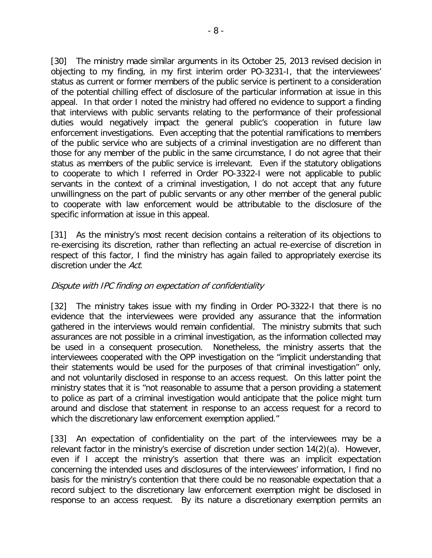[30] The ministry made similar arguments in its October 25, 2013 revised decision in objecting to my finding, in my first interim order PO-3231-I, that the interviewees' status as current or former members of the public service is pertinent to a consideration of the potential chilling effect of disclosure of the particular information at issue in this appeal. In that order I noted the ministry had offered no evidence to support a finding that interviews with public servants relating to the performance of their professional duties would negatively impact the general public's cooperation in future law enforcement investigations. Even accepting that the potential ramifications to members of the public service who are subjects of a criminal investigation are no different than those for any member of the public in the same circumstance, I do not agree that their status as members of the public service is irrelevant. Even if the statutory obligations to cooperate to which I referred in Order PO-3322-I were not applicable to public servants in the context of a criminal investigation, I do not accept that any future unwillingness on the part of public servants or any other member of the general public to cooperate with law enforcement would be attributable to the disclosure of the specific information at issue in this appeal.

[31] As the ministry's most recent decision contains a reiteration of its objections to re-exercising its discretion, rather than reflecting an actual re-exercise of discretion in respect of this factor, I find the ministry has again failed to appropriately exercise its discretion under the Act.

#### Dispute with IPC finding on expectation of confidentiality

[32] The ministry takes issue with my finding in Order PO-3322-I that there is no evidence that the interviewees were provided any assurance that the information gathered in the interviews would remain confidential. The ministry submits that such assurances are not possible in a criminal investigation, as the information collected may be used in a consequent prosecution. Nonetheless, the ministry asserts that the interviewees cooperated with the OPP investigation on the "implicit understanding that their statements would be used for the purposes of that criminal investigation" only, and not voluntarily disclosed in response to an access request. On this latter point the ministry states that it is "not reasonable to assume that a person providing a statement to police as part of a criminal investigation would anticipate that the police might turn around and disclose that statement in response to an access request for a record to which the discretionary law enforcement exemption applied."

[33] An expectation of confidentiality on the part of the interviewees may be a relevant factor in the ministry's exercise of discretion under section 14(2)(a). However, even if I accept the ministry's assertion that there was an implicit expectation concerning the intended uses and disclosures of the interviewees' information, I find no basis for the ministry's contention that there could be no reasonable expectation that a record subject to the discretionary law enforcement exemption might be disclosed in response to an access request. By its nature a discretionary exemption permits an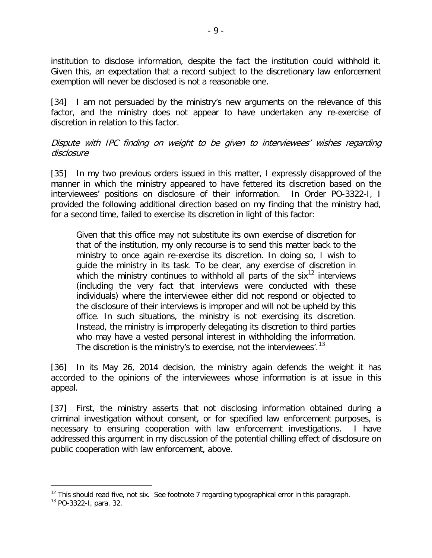institution to disclose information, despite the fact the institution could withhold it. Given this, an expectation that a record subject to the discretionary law enforcement exemption will never be disclosed is not a reasonable one.

[34] I am not persuaded by the ministry's new arguments on the relevance of this factor, and the ministry does not appear to have undertaken any re-exercise of discretion in relation to this factor.

Dispute with IPC finding on weight to be given to interviewees' wishes regarding disclosure

[35] In my two previous orders issued in this matter, I expressly disapproved of the manner in which the ministry appeared to have fettered its discretion based on the interviewees' positions on disclosure of their information. In Order PO-3322-I, I provided the following additional direction based on my finding that the ministry had, for a second time, failed to exercise its discretion in light of this factor:

Given that this office may not substitute its own exercise of discretion for that of the institution, my only recourse is to send this matter back to the ministry to once again re-exercise its discretion. In doing so, I wish to guide the ministry in its task. To be clear, any exercise of discretion in which the ministry continues to withhold all parts of the six<sup>[12](#page-8-0)</sup> interviews (including the very fact that interviews were conducted with these individuals) where the interviewee either did not respond or objected to the disclosure of their interviews is improper and will not be upheld by this office. In such situations, the ministry is not exercising its discretion. Instead, the ministry is improperly delegating its discretion to third parties who may have a vested personal interest in withholding the information. The discretion is the ministry's to exercise, not the interviewees'.<sup>[13](#page-8-1)</sup>

[36] In its May 26, 2014 decision, the ministry again defends the weight it has accorded to the opinions of the interviewees whose information is at issue in this appeal.

[37] First, the ministry asserts that not disclosing information obtained during a criminal investigation without consent, or for specified law enforcement purposes, is necessary to ensuring cooperation with law enforcement investigations. I have addressed this argument in my discussion of the potential chilling effect of disclosure on public cooperation with law enforcement, above.

<span id="page-8-0"></span><sup>&</sup>lt;sup>12</sup> This should read five, not six. See footnote 7 regarding typographical error in this paragraph.

<span id="page-8-1"></span><sup>13</sup> PO-3322-I, para. 32.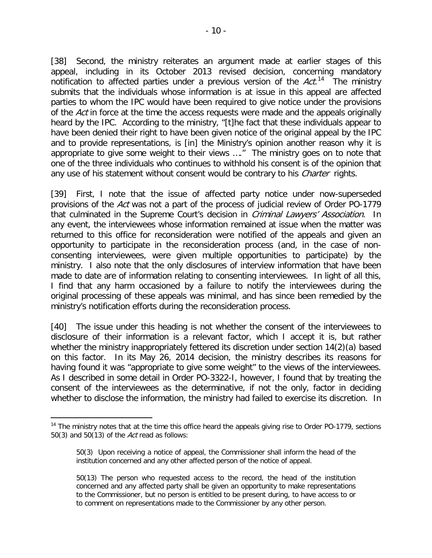[38] Second, the ministry reiterates an argument made at earlier stages of this appeal, including in its October 2013 revised decision, concerning mandatory notification to affected parties under a previous version of the  $Act.^{14}$  $Act.^{14}$  $Act.^{14}$  The ministry submits that the individuals whose information is at issue in this appeal are affected parties to whom the IPC would have been required to give notice under the provisions of the Act in force at the time the access requests were made and the appeals originally heard by the IPC. According to the ministry, "[t]he fact that these individuals appear to have been denied their right to have been given notice of the original appeal by the IPC and to provide representations, is [in] the Ministry's opinion another reason why it is appropriate to give some weight to their views …." The ministry goes on to note that one of the three individuals who continues to withhold his consent is of the opinion that any use of his statement without consent would be contrary to his *Charter* rights.

[39] First, I note that the issue of affected party notice under now-superseded provisions of the Act was not a part of the process of judicial review of Order PO-1779 that culminated in the Supreme Court's decision in *Criminal Lawyers' Association*. In any event, the interviewees whose information remained at issue when the matter was returned to this office for reconsideration were notified of the appeals and given an opportunity to participate in the reconsideration process (and, in the case of nonconsenting interviewees, were given multiple opportunities to participate) by the ministry. I also note that the only disclosures of interview information that have been made to date are of information relating to consenting interviewees. In light of all this, I find that any harm occasioned by a failure to notify the interviewees during the original processing of these appeals was minimal, and has since been remedied by the ministry's notification efforts during the reconsideration process.

[40] The issue under this heading is not whether the consent of the interviewees to disclosure of their information is a relevant factor, which I accept it is, but rather whether the ministry inappropriately fettered its discretion under section 14(2)(a) based on this factor. In its May 26, 2014 decision, the ministry describes its reasons for having found it was "appropriate to give some weight" to the views of the interviewees. As I described in some detail in Order PO-3322-I, however, I found that by treating the consent of the interviewees as the determinative, if not the only, factor in deciding whether to disclose the information, the ministry had failed to exercise its discretion. In

<span id="page-9-0"></span> $14$  The ministry notes that at the time this office heard the appeals giving rise to Order PO-1779, sections 50(3) and 50(13) of the *Act* read as follows:

<sup>50(3)</sup> Upon receiving a notice of appeal, the Commissioner shall inform the head of the institution concerned and any other affected person of the notice of appeal.

<sup>50(13)</sup> The person who requested access to the record, the head of the institution concerned and any affected party shall be given an opportunity to make representations to the Commissioner, but no person is entitled to be present during, to have access to or to comment on representations made to the Commissioner by any other person.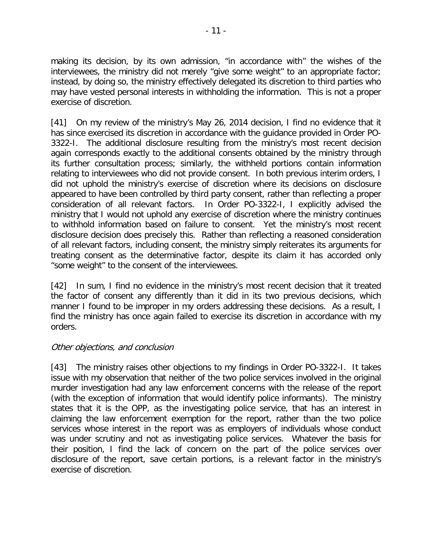making its decision, by its own admission, "in accordance with" the wishes of the interviewees, the ministry did not merely "give some weight" to an appropriate factor; instead, by doing so, the ministry effectively delegated its discretion to third parties who may have vested personal interests in withholding the information. This is not a proper exercise of discretion.

[41] On my review of the ministry's May 26, 2014 decision, I find no evidence that it has since exercised its discretion in accordance with the guidance provided in Order PO-3322-I. The additional disclosure resulting from the ministry's most recent decision again corresponds exactly to the additional consents obtained by the ministry through its further consultation process; similarly, the withheld portions contain information relating to interviewees who did not provide consent. In both previous interim orders, I did not uphold the ministry's exercise of discretion where its decisions on disclosure appeared to have been controlled by third party consent, rather than reflecting a proper consideration of all relevant factors. In Order PO-3322-I, I explicitly advised the ministry that I would not uphold any exercise of discretion where the ministry continues to withhold information based on failure to consent. Yet the ministry's most recent disclosure decision does precisely this. Rather than reflecting a reasoned consideration of all relevant factors, including consent, the ministry simply reiterates its arguments for treating consent as the determinative factor, despite its claim it has accorded only "some weight" to the consent of the interviewees.

[42] In sum, I find no evidence in the ministry's most recent decision that it treated the factor of consent any differently than it did in its two previous decisions, which manner I found to be improper in my orders addressing these decisions. As a result, I find the ministry has once again failed to exercise its discretion in accordance with my orders.

#### Other objections, and conclusion

[43] The ministry raises other objections to my findings in Order PO-3322-I. It takes issue with my observation that neither of the two police services involved in the original murder investigation had any law enforcement concerns with the release of the report (with the exception of information that would identify police informants). The ministry states that it is the OPP, as the investigating police service, that has an interest in claiming the law enforcement exemption for the report, rather than the two police services whose interest in the report was as employers of individuals whose conduct was under scrutiny and not as investigating police services. Whatever the basis for their position, I find the lack of concern on the part of the police services over disclosure of the report, save certain portions, is a relevant factor in the ministry's exercise of discretion.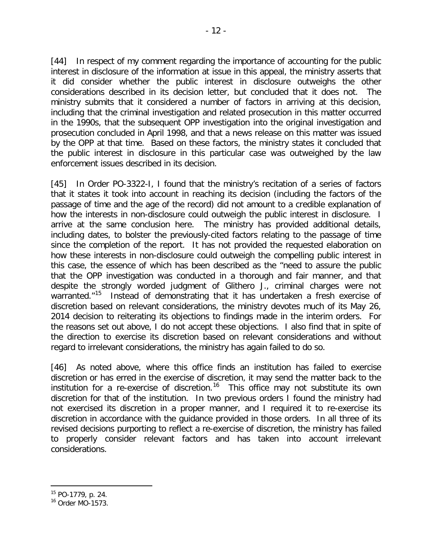- 12 -

[44] In respect of my comment regarding the importance of accounting for the public interest in disclosure of the information at issue in this appeal, the ministry asserts that it did consider whether the public interest in disclosure outweighs the other considerations described in its decision letter, but concluded that it does not. The ministry submits that it considered a number of factors in arriving at this decision, including that the criminal investigation and related prosecution in this matter occurred in the 1990s, that the subsequent OPP investigation into the original investigation and prosecution concluded in April 1998, and that a news release on this matter was issued by the OPP at that time. Based on these factors, the ministry states it concluded that the public interest in disclosure in this particular case was outweighed by the law enforcement issues described in its decision.

[45] In Order PO-3322-I, I found that the ministry's recitation of a series of factors that it states it took into account in reaching its decision (including the factors of the passage of time and the age of the record) did not amount to a credible explanation of how the interests in non-disclosure could outweigh the public interest in disclosure. I arrive at the same conclusion here. The ministry has provided additional details, including dates, to bolster the previously-cited factors relating to the passage of time since the completion of the report. It has not provided the requested elaboration on how these interests in non-disclosure could outweigh the compelling public interest in this case, the essence of which has been described as the "need to assure the public that the OPP investigation was conducted in a thorough and fair manner, and that despite the strongly worded judgment of Glithero J., criminal charges were not warranted."<sup>15</sup> Instead of demonstrating that it has undertaken a fresh exercise of discretion based on relevant considerations, the ministry devotes much of its May 26, 2014 decision to reiterating its objections to findings made in the interim orders. For the reasons set out above, I do not accept these objections. I also find that in spite of the direction to exercise its discretion based on relevant considerations and without regard to irrelevant considerations, the ministry has again failed to do so.

[46] As noted above, where this office finds an institution has failed to exercise discretion or has erred in the exercise of discretion, it may send the matter back to the institution for a re-exercise of discretion.<sup>16</sup> This office may not substitute its own discretion for that of the institution. In two previous orders I found the ministry had not exercised its discretion in a proper manner, and I required it to re-exercise its discretion in accordance with the guidance provided in those orders. In all three of its revised decisions purporting to reflect a re-exercise of discretion, the ministry has failed to properly consider relevant factors and has taken into account irrelevant considerations.

<span id="page-11-0"></span><sup>15</sup> PO-1779, p. 24.

<span id="page-11-1"></span><sup>16</sup> Order MO-1573.